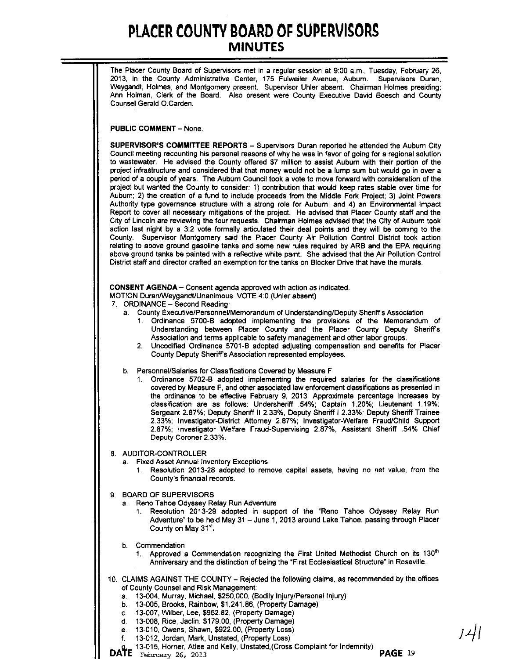The Placer County Board of Supervisors met in a regular session at 9:00 a.m., Tuesday, February 26, **2013, in the County Administrative Center, 175 Fulweiler Avenue, Aubum. Supervisors Duran,** Weygandt, Holmes, and Montgomery present. Supervisor Uhler absent. Chairman Holmes presiding; Ann Holman, Clerk of the Board. Aiso present were County Executive David Boesch and County Counsel Gerald O.Carden.

PUBLIC COMMENT - None.

SUPERVISOR'S COMMITTEE REPORTS - Supervisors Duran reported he attended the Auburn City Council meeting recounting his personal reasons of why he was in favor of going for a regional solution to wastewater. He advised the County offered \$7 million to assist Auburn with their portion of the project infrastructure and considered that that money would not be a lump sum but would go in over a period of a coupie of years. The Auburn Council took a vote to move forward with consideration of the project but wanted the County to consider: 1) contribution that would keep rates stable over time for Auburn; 2) the creation of a fund to include proceeds from the Middle Fork Project; 3) Joint Powers Authority type governance structure with a strong role for Auburn; and 4) an Environmental Impact Report to cover all necessary mitigations of the project. He advised that Placer County staff and the City of Lincoln are reviewing the four requests. Chairman Holmes advised that the City of Auburn took action last night by a 3:2 vote formally articulated their deal points and they will be coming to the County. Supervisor Montgomery said the Pfacer County Air Pollution Control District took action relating to above ground gasoline tanks and some new rufes required by ARB and the EPA requiring above ground tanks be painted with a reflective white paint. She advised that the Air Pollution Control District staff and director crafted an exemption for the tanks on Blocker Drive that have the murals.

CONSENT AGENDA - Consent agenda approved with action as indicated.

MOTION Duran/Weygandt/Unanimous VOTE 4:0 (Uhler absent)

- 7. ORDINANCE Second Reading:
	- a. County Executive/Personnel/Memorandum of Understanding/Deputy Sheriffs Association
		- 1. Ordinance 5700-B adopted implementing the provisions of the Memorandum of Understanding between Placer County and the Placer County Deputy Sheriffs Association and terms applicable to safety management and other labor groups.
		- 2. Uncodified Ordinance 5701-B adopted adjusting compensation and benefits for Placer County Deputy Sheriffs Association represented employees.

b. Personnel/Salaries for Classifications Covered by Measure F

1. Ordinance 5702-B adopted implementing the required saiaries for the classifications covered by Measure F, and other associated law enforcement classifications as presented in the ordinance to be effective February 9, 2013. ApprOXimate percentage increases by classification are as follows: Undersheriff .54%; Captain 1.20%; Lieutenant 1.19%; Sergeant 2.87%; Deputy Sheriff II 2.33%, Deputy Sheriff i 2.33%; Deputy Sheriff Trainee 2.33%; Investigator-District Attorney 2.87%; Investigator-Weffare Fraud/Child Support 2.87%; Investigator Welfare Fraud-Supervising 2.87%, Assistant Sheriff .54% Chief **Deputy Coroner** 2.33%.

8 AUDITOR-CONTROLLER

- a. **Fixed Asset** Annual Inventory **Exceptions**
	- 1. **Resolution 2013-28 adopted to remove capital assets, having no net value, from the County's financial records.**
- 9. BOARD OF SUPERVISORS
	- a. Reno Tahoe Odyssey Relay Run Adventure
		- 1. Resolution 2013-29 adopted in support of the "Reno Tahoe Odyssey Relay Run Adventure" to be held May 31 - June 1, 2013 around Lake Tahoe, passing through Placer County on May 31".
	- b. Commendation
		- 1. Approved a Commendation recognizing the First United Methodist Church on its 130<sup>th</sup> Anniversary and the distinction of being the "First Ecclesiastical Structure" in Roseville.
- 10. CLAIMS AGAINST THE COUNTY Rejected the following claims, as recommended by the offices of County Counsel and Risk Management:
	- a. 13-004, Murray, Michael, \$250,000, (Bodily Injury/Personal Injury)
	- b. 13-005, Brooks, Rainbow, \$1,241.86, (Property Damage)
	- c. 13-007, Wifber, Lee, \$952.82, (Property Damage)
	- d. 13-008, Rice, Jaclin, \$179.00, (Property Damage)
	- e. 13-010, Owens, Shawn, \$922.00, (Property Loss)
	- f. 13-012, Jordan, Mark, Unstated, (Property Loss)
- g.\_ 13-015, Horner, Atlee and Kelly, Unstated,(Cross Complaint for Indemnity) **DATE** February 26, 2013 **PAGE 19**

*;Ljl*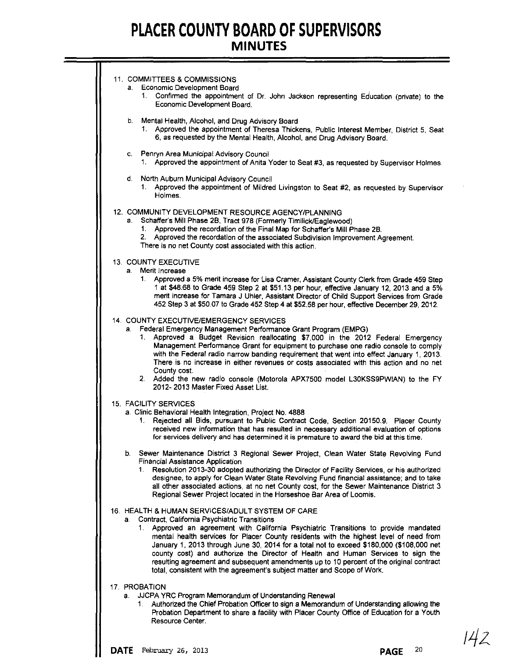÷

| 11. COMMITTEES & COMMISSIONS.<br>a. Economic Development Board<br>Confirmed the appointment of Dr. John Jackson representing Education (private) to the<br>1.<br>Economic Development Board.                                                                                                                                                                                                                                                                                                    |
|-------------------------------------------------------------------------------------------------------------------------------------------------------------------------------------------------------------------------------------------------------------------------------------------------------------------------------------------------------------------------------------------------------------------------------------------------------------------------------------------------|
| Mental Health, Alcohol, and Drug Advisory Board<br>b.<br>1. Approved the appointment of Theresa Thickens, Public Interest Member, District 5, Seat<br>6, as requested by the Mental Health, Alcohol, and Drug Advisory Board.                                                                                                                                                                                                                                                                   |
| Penryn Area Municipal Advisory Council<br>C.<br>1. Approved the appointment of Anita Yoder to Seat #3, as requested by Supervisor Holmes.                                                                                                                                                                                                                                                                                                                                                       |
| d. North Auburn Municipal Advisory Council<br>Approved the appointment of Mildred Livingston to Seat #2, as requested by Supervisor<br>1.<br>Holmes.                                                                                                                                                                                                                                                                                                                                            |
| 12. COMMUNITY DEVELOPMENT RESOURCE AGENCY/PLANNING<br>Schaffer's Mill Phase 2B, Tract 978 (Formerly Timilick/Eaglewood)<br>а.<br>1. Approved the recordation of the Final Map for Schaffer's Mill Phase 2B.<br>Approved the recordation of the associated Subdivision Improvement Agreement.<br>2.<br>There is no net County cost associated with this action.                                                                                                                                  |
| <b>13. COUNTY EXECUTIVE</b>                                                                                                                                                                                                                                                                                                                                                                                                                                                                     |
| a. Merit Increase<br>1. Approved a 5% merit increase for Lisa Cramer, Assistant County Clerk from Grade 459 Step<br>1 at \$48.68 to Grade 459 Step 2 at \$51.13 per hour, effective January 12, 2013 and a 5%<br>merit increase for Tamara J Uhler, Assistant Director of Child Support Services from Grade<br>452 Step 3 at \$50.07 to Grade 452 Step 4 at \$52.58 per hour, effective December 29, 2012.                                                                                      |
| 14. COUNTY EXECUTIVE/EMERGENCY SERVICES<br>a. Federal Emergency Management Performance Grant Program (EMPG)<br>Approved a Budget Revision reallocating \$7,000 in the 2012 Federal Emergency<br>1.<br>Management Performance Grant for equipment to purchase one radio console to comply<br>with the Federal radio narrow banding requirement that went into effect January 1, 2013.<br>There is no increase in either revenues or costs associated with this action and no net<br>County cost. |
| 2. Added the new radio console (Motorola APX7500 model L30KSS9PWIAN) to the FY<br>2012-2013 Master Fixed Asset List.                                                                                                                                                                                                                                                                                                                                                                            |
| <b>15. FACILITY SERVICES</b>                                                                                                                                                                                                                                                                                                                                                                                                                                                                    |
| a. Clinic Behavioral Health Integration, Project No. 4888<br>Rejected all Bids, pursuant to Public Contract Code, Section 20150.9. Placer County<br>1.<br>received new information that has resulted in necessary additional evaluation of options<br>for services delivery and has determined it is premature to award the bid at this time.                                                                                                                                                   |
| b. Sewer Maintenance District 3 Regional Sewer Project, Clean Water State Revolving Fund                                                                                                                                                                                                                                                                                                                                                                                                        |
| Financial Assistance Application<br>Resolution 2013-30 adopted authorizing the Director of Facility Services, or his authorized<br>1.<br>designee, to apply for Clean Water State Revolving Fund financial assistance; and to take<br>all other associated actions, at no net County cost, for the Sewer Maintenance District 3<br>Regional Sewer Project located in the Horseshoe Bar Area of Loomis.                                                                                          |
| 16. HEALTH & HUMAN SERVICES/ADULT SYSTEM OF CARE<br>Contract, California Psychiatric Transitions<br>a.<br>1. Approved an agreement with California Psychiatric Transitions to provide mandated<br>mental health services for Placer County residents with the highest level of need from<br>January 1, 2013 through June 30, 2014 for a total not to exceed \$180,000 (\$108,000 net                                                                                                            |
| county cost) and authorize the Director of Health and Human Services to sign the<br>resulting agreement and subsequent amendments up to 10 percent of the original contract<br>total, consistent with the agreement's subject matter and Scope of Work.                                                                                                                                                                                                                                         |
| 17. PROBATION                                                                                                                                                                                                                                                                                                                                                                                                                                                                                   |
| JJCPA YRC Program Memorandum of Understanding Renewal<br>a.<br>Authorized the Chief Probation Officer to sign a Memorandum of Understanding allowing the<br>Probation Department to share a facility with Placer County Office of Education for a Youth<br>Resource Center.                                                                                                                                                                                                                     |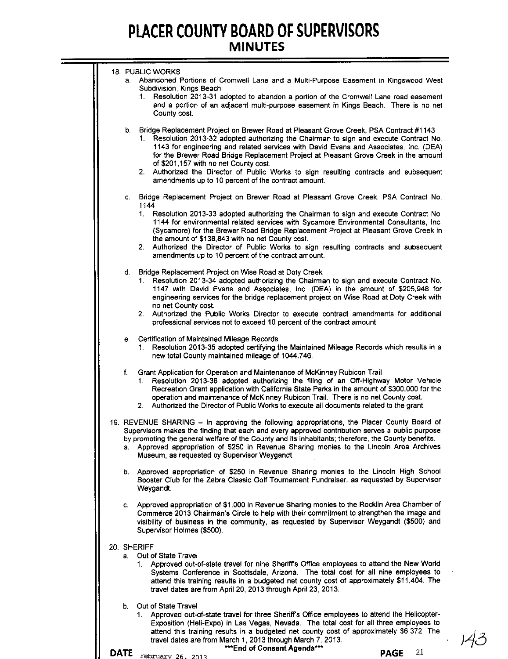| <b>18. PUBLIC WORKS</b><br>a. Abandoned Portions of Cromwell Lane and a Multi-Purpose Easement in Kingswood West<br>Subdivision, Kings Beach<br>Resolution 2013-31 adopted to abandon a portion of the Cromwell Lane road easement<br>1.<br>and a portion of an adjacent multi-purpose easement in Kings Beach. There is no net<br>County cost.                                                                                                                                                                                                               |
|---------------------------------------------------------------------------------------------------------------------------------------------------------------------------------------------------------------------------------------------------------------------------------------------------------------------------------------------------------------------------------------------------------------------------------------------------------------------------------------------------------------------------------------------------------------|
| b. Bridge Replacement Project on Brewer Road at Pleasant Grove Creek, PSA Contract #1143<br>1. Resolution 2013-32 adopted authorizing the Chairman to sign and execute Contract No.<br>1143 for engineering and related services with David Evans and Associates, Inc. (DEA)<br>for the Brewer Road Bridge Replacement Project at Pleasant Grove Creek in the amount<br>of \$201,157 with no net County cost.<br>2. Authorized the Director of Public Works to sign resulting contracts and subsequent<br>amendments up to 10 percent of the contract amount. |
| Bridge Replacement Project on Brewer Road at Pleasant Grove Creek, PSA Contract No.<br>C.                                                                                                                                                                                                                                                                                                                                                                                                                                                                     |
| 1144<br>1. Resolution 2013-33 adopted authorizing the Chairman to sign and execute Contract No.<br>1144 for environmental related services with Sycamore Environmental Consultants, Inc.<br>(Sycamore) for the Brewer Road Bridge Replacement Project at Pleasant Grove Creek in<br>the amount of \$138,843 with no net County cost.<br>Authorized the Director of Public Works to sign resulting contracts and subsequent<br>2.<br>amendments up to 10 percent of the contract amount.                                                                       |
| d. Bridge Replacement Project on Wise Road at Doty Creek<br>Resolution 2013-34 adopted authorizing the Chairman to sign and execute Contract No.<br>$1_{\cdot}$<br>1147 with David Evans and Associates, Inc. (DEA) in the amount of \$205,948 for<br>engineering services for the bridge replacement project on Wise Road at Doty Creek with<br>no net County cost.<br>2. Authorized the Public Works Director to execute contract amendments for additional<br>professional services not to exceed 10 percent of the contract amount.                       |
| e. Certification of Maintained Mileage Records<br>Resolution 2013-35 adopted certifying the Maintained Mileage Records which results in a<br>1 <sup>1</sup><br>new total County maintained mileage of 1044.746.                                                                                                                                                                                                                                                                                                                                               |
| Grant Application for Operation and Maintenance of McKinney Rubicon Trail<br>f.<br>Resolution 2013-36 adopted authorizing the filing of an Off-Highway Motor Vehicle<br>1.<br>Recreation Grant application with California State Parks in the amount of \$300,000 for the<br>operation and maintenance of McKinney Rubicon Trail. There is no net County cost.<br>2. Authorized the Director of Public Works to execute all documents related to the grant.                                                                                                   |
| 19. REVENUE SHARING - In approving the following appropriations, the Placer County Board of<br>Supervisors makes the finding that each and every approved contribution serves a public purpose<br>by promoting the general welfare of the County and its inhabitants; therefore, the County benefits.<br>a. Approved appropriation of \$250 in Revenue Sharing monies to the Lincoln Area Archives<br>Museum, as requested by Supervisor Weygandt.                                                                                                            |
| Approved appropriation of \$250 in Revenue Sharing monies to the Lincoln High School<br>b.<br>Booster Club for the Zebra Classic Golf Tournament Fundraiser, as requested by Supervisor<br>Weygandt.                                                                                                                                                                                                                                                                                                                                                          |
| Approved appropriation of \$1,000 in Revenue Sharing monies to the Rocklin Area Chamber of<br>C.<br>Commerce 2013 Chairman's Circle to help with their commitment to strengthen the image and<br>visibility of business in the community, as requested by Supervisor Weygandt (\$500) and<br>Supervisor Holmes (\$500).                                                                                                                                                                                                                                       |
| 20. SHERIFF<br>Out of State Travel<br>а.<br>1. Approved out-of-state travel for nine Sheriff's Office employees to attend the New World<br>Systems Conference in Scottsdale, Arizona. The total cost for all nine employees to<br>attend this training results in a budgeted net county cost of approximately \$11,404. The<br>travel dates are from April 20, 2013 through April 23, 2013.                                                                                                                                                                   |
| Out of State Travel<br>b.<br>Approved out-of-state travel for three Sheriff's Office employees to attend the Helicopter-<br>1.<br>Exposition (Heli-Expo) in Las Vegas, Nevada. The total cost for all three employees to<br>attend this training results in a budgeted net county cost of approximately \$6,372. The<br>travel dates are from March 1, 2013 through March 7, 2013.<br><b>***End of Concont Anondo***</b>                                                                                                                                      |

**PAGE** <sup>21</sup> **February 26. <sup>2011</sup> DATE**

**"'''''''End of Consent Agenda"'''''''**

 $143$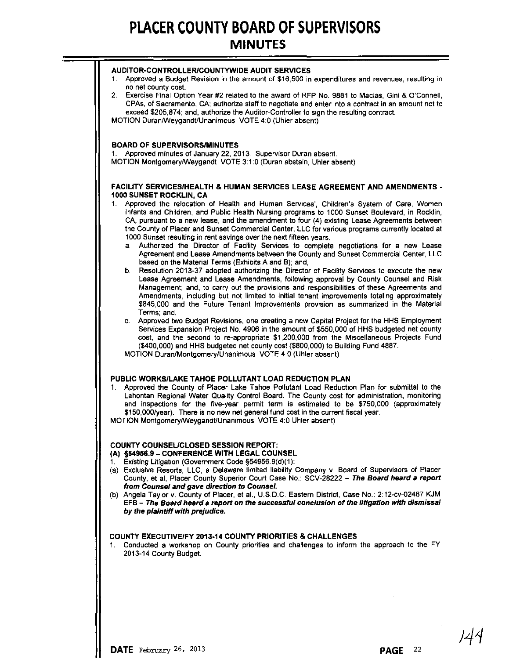| AUDITOR-CONTROLLER/COUNTYWIDE AUDIT SERVICES<br>1. Approved a Budget Revision in the amount of \$16,500 in expenditures and revenues, resulting in<br>no net county cost.<br>2. Exercise Final Option Year #2 related to the award of RFP No. 9881 to Macias, Gini & O'Connell,<br>CPAs, of Sacramento, CA; authorize staff to negotiate and enter into a contract in an amount not to<br>exceed \$205,874; and, authorize the Auditor-Controller to sign the resulting contract.<br>MOTION Duran/Weygandt/Unanimous VOTE 4:0 (Uhler absent)                                                                                                                                                                                                                                                                                                                                                                                                                                                                                                                                                                                                                                                                                                                                                                                                                                                                                        |
|-------------------------------------------------------------------------------------------------------------------------------------------------------------------------------------------------------------------------------------------------------------------------------------------------------------------------------------------------------------------------------------------------------------------------------------------------------------------------------------------------------------------------------------------------------------------------------------------------------------------------------------------------------------------------------------------------------------------------------------------------------------------------------------------------------------------------------------------------------------------------------------------------------------------------------------------------------------------------------------------------------------------------------------------------------------------------------------------------------------------------------------------------------------------------------------------------------------------------------------------------------------------------------------------------------------------------------------------------------------------------------------------------------------------------------------|
| <b>BOARD OF SUPERVISORS/MINUTES</b><br>Approved minutes of January 22, 2013. Supervisor Duran absent.<br>1.<br>MOTION Montgomery/Weygandt VOTE 3:1:0 (Duran abstain, Uhler absent)                                                                                                                                                                                                                                                                                                                                                                                                                                                                                                                                                                                                                                                                                                                                                                                                                                                                                                                                                                                                                                                                                                                                                                                                                                                  |
| <b>FACILITY SERVICES/HEALTH &amp; HUMAN SERVICES LEASE AGREEMENT AND AMENDMENTS -</b><br>1000 SUNSET ROCKLIN, CA<br>Approved the relocation of Health and Human Services', Children's System of Care, Women<br>1.<br>Infants and Children, and Public Health Nursing programs to 1000 Sunset Boulevard, in Rocklin,<br>CA, pursuant to a new lease, and the amendment to four (4) existing Lease Agreements between<br>the County of Placer and Sunset Commercial Center, LLC for various programs currently located at<br>1000 Sunset resulting in rent savings over the next fifteen years.<br>a. Authorized the Director of Facility Services to complete negotiations for a new Lease<br>Agreement and Lease Amendments between the County and Sunset Commercial Center, LLC<br>based on the Material Terms (Exhibits A and B); and,<br>b. Resolution 2013-37 adopted authorizing the Director of Facility Services to execute the new<br>Lease Agreement and Lease Amendments, following approval by County Counsel and Risk<br>Management; and, to carry out the provisions and responsibilities of these Agreements and<br>Amendments, including but not limited to initial tenant improvements totaling approximately<br>\$845,000 and the Future Tenant Improvements provision as summarized in the Material<br>Terms; and,<br>c. Approved two Budget Revisions, one creating a new Capital Project for the HHS Employment |
| Services Expansion Project No. 4906 in the amount of \$550,000 of HHS budgeted net county<br>cost, and the second to re-appropriate \$1,200,000 from the Miscellaneous Projects Fund<br>(\$400,000) and HHS budgeted net county cost (\$800,000) to Building Fund 4887.<br>MOTION Duran/Montgomery/Unanimous VOTE 4:0 (Uhler absent)<br>PUBLIC WORKS/LAKE TAHOE POLLUTANT LOAD REDUCTION PLAN<br>Approved the County of Placer Lake Tahoe Pollutant Load Reduction Plan for submittal to the<br>1.<br>Lahontan Regional Water Quality Control Board. The County cost for administration, monitoring<br>and inspections for the five-year permit term is estimated to be \$750,000 (approximately<br>\$150,000/year). There is no new net general fund cost in the current fiscal year.<br>MOTION Montgomery/Weygandt/Unanimous VOTE 4:0 Uhler absent)                                                                                                                                                                                                                                                                                                                                                                                                                                                                                                                                                                               |
| <b>COUNTY COUNSEL/CLOSED SESSION REPORT:</b><br>(A) §54956.9 - CONFERENCE WITH LEGAL COUNSEL<br>Existing Litigation (Government Code §54956.9(d)(1):<br>(a) Exclusive Resorts, LLC, a Delaware limited liability Company v. Board of Supervisors of Placer<br>County, et al, Placer County Superior Court Case No.: SCV-28222 - The Board heard a report<br>from Counsel and gave direction to Counsel.<br>(b) Angela Taylor v. County of Placer, et al., U.S.D.C. Eastern District, Case No.: 2:12-cv-02487 KJM<br>EFB - The Board heard a report on the successful conclusion of the litigation with dismissal<br>by the plaintiff with prejudice.                                                                                                                                                                                                                                                                                                                                                                                                                                                                                                                                                                                                                                                                                                                                                                                |
| <b>COUNTY EXECUTIVE/FY 2013-14 COUNTY PRIORITIES &amp; CHALLENGES</b><br>Conducted a workshop on County priorities and challenges to inform the approach to the FY<br>1.<br>2013-14 County Budget.                                                                                                                                                                                                                                                                                                                                                                                                                                                                                                                                                                                                                                                                                                                                                                                                                                                                                                                                                                                                                                                                                                                                                                                                                                  |

144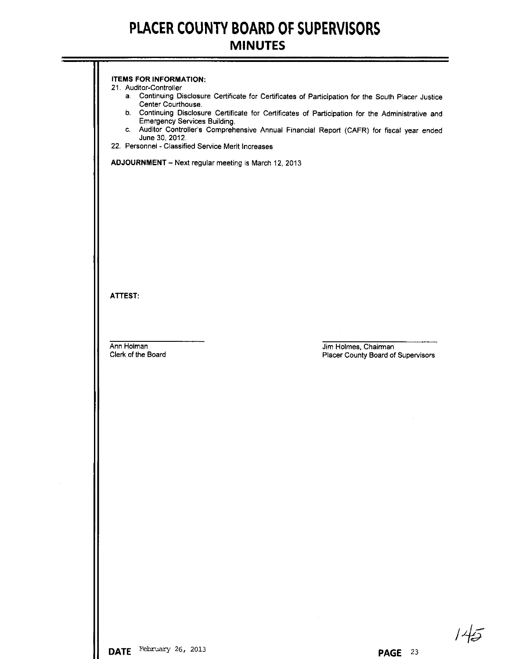| <b>ITEMS FOR INFORMATION:</b>                        |                                                                                                     |
|------------------------------------------------------|-----------------------------------------------------------------------------------------------------|
| 21. Auditor-Controller                               | a. Continuing Disclosure Certificate for Certificates of Participation for the South Placer Justice |
| Center Courthouse.                                   | b. Continuing Disclosure Certificate for Certificates of Participation for the Administrative and   |
| <b>Emergency Services Building.</b>                  |                                                                                                     |
| June 30, 2012.                                       | c. Auditor Controller's Comprehensive Annual Financial Report (CAFR) for fiscal year ended          |
| 22. Personnel - Classified Service Merit Increases   |                                                                                                     |
| ADJOURNMENT - Next regular meeting is March 12, 2013 |                                                                                                     |
|                                                      |                                                                                                     |
|                                                      |                                                                                                     |
|                                                      |                                                                                                     |
|                                                      |                                                                                                     |
|                                                      |                                                                                                     |
|                                                      |                                                                                                     |
|                                                      |                                                                                                     |
|                                                      |                                                                                                     |
|                                                      |                                                                                                     |
| ATTEST:                                              |                                                                                                     |
|                                                      |                                                                                                     |
|                                                      |                                                                                                     |
| Ann Holman                                           | Jim Holmes, Chairman                                                                                |
| Clerk of the Board                                   | Placer County Board of Supervisors                                                                  |
|                                                      |                                                                                                     |
|                                                      |                                                                                                     |
|                                                      |                                                                                                     |
|                                                      |                                                                                                     |
|                                                      |                                                                                                     |
|                                                      |                                                                                                     |
|                                                      |                                                                                                     |
|                                                      |                                                                                                     |
|                                                      |                                                                                                     |
|                                                      |                                                                                                     |
|                                                      |                                                                                                     |
|                                                      |                                                                                                     |
|                                                      |                                                                                                     |
|                                                      |                                                                                                     |
|                                                      |                                                                                                     |
|                                                      |                                                                                                     |
|                                                      |                                                                                                     |
|                                                      |                                                                                                     |
|                                                      |                                                                                                     |
|                                                      |                                                                                                     |

 $145$